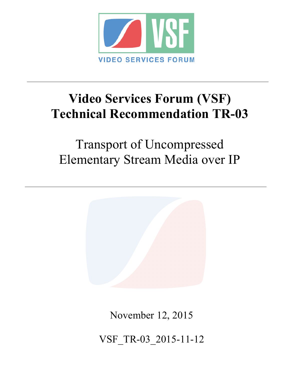

# **Video Services Forum (VSF) Technical Recommendation TR-03**

Transport of Uncompressed Elementary Stream Media over IP



November 12, 2015

VSF\_TR-03\_2015-11-12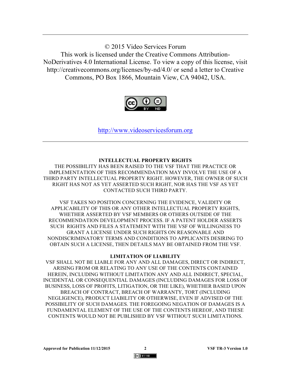© 2015 Video Services Forum This work is licensed under the Creative Commons Attribution-NoDerivatives 4.0 International License. To view a copy of this license, visit http://creativecommons.org/licenses/by-nd/4.0/ or send a letter to Creative Commons, PO Box 1866, Mountain View, CA 94042, USA.



http://www.videoservicesforum.org

#### **INTELLECTUAL PROPERTY RIGHTS**

THE POSSIBILITY HAS BEEN RAISED TO THE VSF THAT THE PRACTICE OR IMPLEMENTATION OF THIS RECOMMENDATION MAY INVOLVE THE USE OF A THIRD PARTY INTELLECTUAL PROPERTY RIGHT. HOWEVER, THE OWNER OF SUCH RIGHT HAS NOT AS YET ASSERTED SUCH RIGHT, NOR HAS THE VSF AS YET CONTACTED SUCH THIRD PARTY.

VSF TAKES NO POSITION CONCERNING THE EVIDENCE, VALIDITY OR APPLICABILITY OF THIS OR ANY OTHER INTELLECTUAL PROPERTY RIGHTS, WHETHER ASSERTED BY VSF MEMBERS OR OTHERS OUTSIDE OF THE RECOMMENDATION DEVELOPMENT PROCESS. IF A PATENT HOLDER ASSERTS SUCH RIGHTS AND FILES A STATEMENT WITH THE VSF OF WILLINGNESS TO GRANT A LICENSE UNDER SUCH RIGHTS ON REASONABLE AND NONDISCRIMINATORY TERMS AND CONDITIONS TO APPLICANTS DESIRING TO OBTAIN SUCH A LICENSE, THEN DETAILS MAY BE OBTAINED FROM THE VSF.

#### **LIMITATION OF LIABILITY**

VSF SHALL NOT BE LIABLE FOR ANY AND ALL DAMAGES, DIRECT OR INDIRECT, ARISING FROM OR RELATING TO ANY USE OF THE CONTENTS CONTAINED HEREIN, INCLUDING WITHOUT LIMITATION ANY AND ALL INDIRECT, SPECIAL, INCIDENTAL OR CONSEQUENTIAL DAMAGES (INCLUDING DAMAGES FOR LOSS OF BUSINESS, LOSS OF PROFITS, LITIGATION, OR THE LIKE), WHETHER BASED UPON BREACH OF CONTRACT, BREACH OF WARRANTY, TORT (INCLUDING NEGLIGENCE), PRODUCT LIABILITY OR OTHERWISE, EVEN IF ADVISED OF THE POSSIBILITY OF SUCH DAMAGES. THE FOREGOING NEGATION OF DAMAGES IS A FUNDAMENTAL ELEMENT OF THE USE OF THE CONTENTS HEREOF, AND THESE CONTENTS WOULD NOT BE PUBLISHED BY VSF WITHOUT SUCH LIMITATIONS.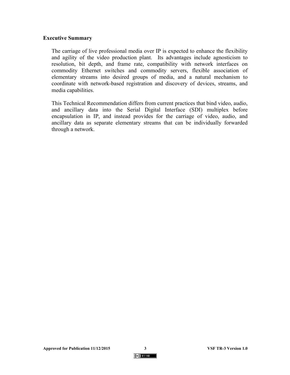#### **Executive Summary**

The carriage of live professional media over IP is expected to enhance the flexibility and agility of the video production plant. Its advantages include agnosticism to resolution, bit depth, and frame rate, compatibility with network interfaces on commodity Ethernet switches and commodity servers, flexible association of elementary streams into desired groups of media, and a natural mechanism to coordinate with network-based registration and discovery of devices, streams, and media capabilities.

This Technical Recommendation differs from current practices that bind video, audio, and ancillary data into the Serial Digital Interface (SDI) multiplex before encapsulation in IP, and instead provides for the carriage of video, audio, and ancillary data as separate elementary streams that can be individually forwarded through a network.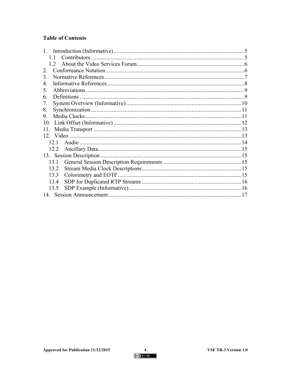# **Table of Contents**

| Contributors<br>11 |  |
|--------------------|--|
| $12^{-}$           |  |
| $\mathcal{L}$      |  |
| 3                  |  |
| 4                  |  |
| 5.                 |  |
| 6.                 |  |
| 7.                 |  |
| 8.                 |  |
| 9.                 |  |
| 10                 |  |
| 11.                |  |
|                    |  |
| 12.1               |  |
| 12.2               |  |
|                    |  |
| 13 1               |  |
| 13.2               |  |
| 13.3               |  |
| 13.4               |  |
| 13.5               |  |
| 17                 |  |

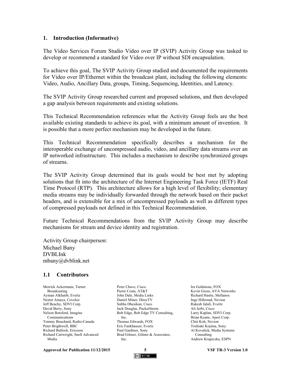#### **1. Introduction (Informative)**

The Video Services Forum Studio Video over IP (SVIP) Activity Group was tasked to develop or recommend a standard for Video over IP without SDI encapsulation.

To achieve this goal, The SVIP Activity Group studied and documented the requirements for Video over IP/Ethernet within the broadcast plant, including the following elements: Video, Audio, Ancillary Data, groups, Timing, Sequencing, Identities, and Latency.

The SVIP Activity Group researched current and proposed solutions, and then developed a gap analysis between requirements and existing solutions.

This Technical Recommendation references what the Activity Group feels are the best available existing standards to achieve its goal, with a minimum amount of invention. It is possible that a more perfect mechanism may be developed in the future.

This Technical Recommendation specifically describes a mechanism for the interoperable exchange of uncompressed audio, video, and ancillary data streams over an IP networked infrastructure. This includes a mechanism to describe synchronized groups of streams.

The SVIP Activity Group determined that its goals would be best met by adopting solutions that fit into the architecture of the Internet Engineering Task Force (IETF) Real Time Protocol (RTP). This architecture allows for a high level of flexibility; elementary media streams may be individually forwarded through the network based on their packet headers, and is extensible for a mix of uncompressed payloads as well as different types of compressed payloads not defined in this Technical Recommendation.

Future Technical Recommendations from the SVIP Activity Group may describe mechanisms for stream and device identity and registration.

Activity Group chairperson: Michael Bany DVBLInk mbany@dvblink.net

### **1.1 Contributors**

Merrick Ackermans, Turner Broadcasting Ayman Alkhatib, Evertz Nestor Amaya, Coveloz Jeff Beachy, SDVI Corp. David Berry, Sony Nelson Botsford, Imagine Communications Tommy Bouchard, Radio-Canada Peter Brightwell, BBC Richard Bullock, Ericsson Richard Cartwright, Snell Advanced Media

Peter Chave, Cisco Pierre Costa, AT&T John Dale, Media Links Daniel Miner, DirecTV Subha Dhesikan, Cisco Jack Douglas, PacketStorm Bob Edge, Bob Edge TV Consulting, Inc. Thomas Edwards, FOX Eric Fankhauser, Evertz Paul Gardiner, Sony Brad Gilmer, Gilmer & Associates, Inc.

Ira Goldstone, FOX Kevin Gross, AVA Networks Richard Hastie, Mellanox Inge Hillestad, Nevion Rakesh Jalali, Evertz Ali Jerbi, Cisco Larry Kaplan, SDVI Corp. Brian Keane, Aperi Corp. Chin Koh, Nevion Toshiaki Kojima, Sony Al Kovalick, Media Systems Consulting Andrew Krupiczka, ESPN

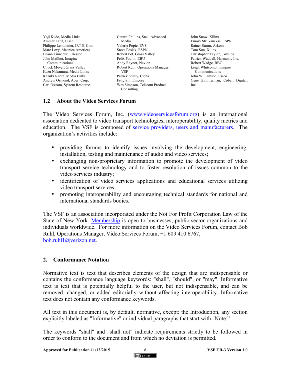Yoji Kudo, Media Links Ammar Latif, Cisco Philippe Lemonnier, IRT B-Com Marc Levy, Macnica Americas Luann Linnebur, Ericsson John Mailhot, Imagine Communications Chuck Meyer, Grass Valley Kazu Nakamura, Media Links Kazuki Narita, Media Links Andrew Osmond, Aperi Corp. Carl Ostrom, System Resource

Gerard Phillips, Snell Advanced Media Valerie Popie, EVS Steve Posick, ESPN Robert Pot, Grass Valley Félix Poulin, EBU Andy Rayner, Nevion Robert Ruhl, Operations Manager, VSF Patrick Scully, Ciena Feng Shi, Emcore Wes Simpson, Telecom Product Consulting

John Snow, Xilinx Emory Strilkauskas, ESPN Rainer Sturm, Arkona Tom Sun, Xilinx Christopher Taylor, Coveloz Patrick Waddell, Harmonic Inc. Robert Wadge, BBC Leigh Whitcomb, Imagine Communications John Williamson, Cisco Gene Zimmerman, Cobalt Digital, Inc

### **1.2 About the Video Services Forum**

The Video Services Forum, Inc. (www.videoservicesforum.org) is an international association dedicated to video transport technologies, interoperability, quality metrics and education. The VSF is composed of service providers, users and manufacturers. The organization's activities include:

- providing forums to identify issues involving the development, engineering, installation, testing and maintenance of audio and video services;
- exchanging non-proprietary information to promote the development of video transport service technology and to foster resolution of issues common to the video services industry;
- identification of video services applications and educational services utilizing video transport services;
- promoting interoperability and encouraging technical standards for national and international standards bodies.

The VSF is an association incorporated under the Not For Profit Corporation Law of the State of New York. Membership is open to businesses, public sector organizations and individuals worldwide. For more information on the Video Services Forum, contact Bob Ruhl, Operations Manager, Video Services Forum, +1 609 410 6767, bob.ruhl1@verizon.net.

### **2. Conformance Notation**

Normative text is text that describes elements of the design that are indispensable or contains the conformance language keywords: "shall", "should", or "may". Informative text is text that is potentially helpful to the user, but not indispensable, and can be removed, changed, or added editorially without affecting interoperability. Informative text does not contain any conformance keywords.

All text in this document is, by default, normative, except: the Introduction, any section explicitly labeled as "Informative" or individual paragraphs that start with "Note:"

The keywords "shall" and "shall not" indicate requirements strictly to be followed in order to conform to the document and from which no deviation is permitted.

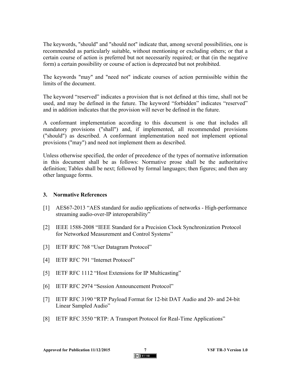The keywords, "should" and "should not" indicate that, among several possibilities, one is recommended as particularly suitable, without mentioning or excluding others; or that a certain course of action is preferred but not necessarily required; or that (in the negative form) a certain possibility or course of action is deprecated but not prohibited.

The keywords "may" and "need not" indicate courses of action permissible within the limits of the document.

The keyword "reserved" indicates a provision that is not defined at this time, shall not be used, and may be defined in the future. The keyword "forbidden" indicates "reserved" and in addition indicates that the provision will never be defined in the future.

A conformant implementation according to this document is one that includes all mandatory provisions ("shall") and, if implemented, all recommended provisions ("should") as described. A conformant implementation need not implement optional provisions ("may") and need not implement them as described.

Unless otherwise specified, the order of precedence of the types of normative information in this document shall be as follows: Normative prose shall be the authoritative definition; Tables shall be next; followed by formal languages; then figures; and then any other language forms.

### **3. Normative References**

- [1] AES67-2013 "AES standard for audio applications of networks High-performance streaming audio-over-IP interoperability"
- [2] IEEE 1588-2008 "IEEE Standard for a Precision Clock Synchronization Protocol for Networked Measurement and Control Systems"
- [3] IETF RFC 768 "User Datagram Protocol"
- [4] **IETF RFC 791 "Internet Protocol"**
- [5] IETF RFC 1112 "Host Extensions for IP Multicasting"
- [6] IETF RFC 2974 "Session Announcement Protocol"
- [7] IETF RFC 3190 "RTP Payload Format for 12-bit DAT Audio and 20- and 24-bit Linear Sampled Audio"
- [8] IETF RFC 3550 "RTP: A Transport Protocol for Real-Time Applications"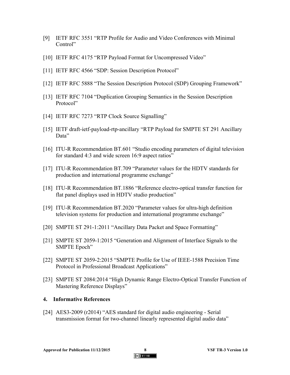- [9] IETF RFC 3551 "RTP Profile for Audio and Video Conferences with Minimal Control"
- [10] IETF RFC 4175 "RTP Payload Format for Uncompressed Video"
- [11] IETF RFC 4566 "SDP: Session Description Protocol"
- [12] IETF RFC 5888 "The Session Description Protocol (SDP) Grouping Framework"
- [13] IETF RFC 7104 "Duplication Grouping Semantics in the Session Description Protocol"
- [14] IETF RFC 7273 "RTP Clock Source Signalling"
- [15] IETF draft-ietf-payload-rtp-ancillary "RTP Payload for SMPTE ST 291 Ancillary Data"
- [16] ITU-R Recommendation BT.601 "Studio encoding parameters of digital television for standard 4:3 and wide screen 16:9 aspect ratios"
- [17] ITU-R Recommendation BT.709 "Parameter values for the HDTV standards for production and international programme exchange"
- [18] ITU-R Recommendation BT.1886 "Reference electro-optical transfer function for flat panel displays used in HDTV studio production"
- [19] ITU-R Recommendation BT.2020 "Parameter values for ultra-high definition television systems for production and international programme exchange"
- [20] SMPTE ST 291-1:2011 "Ancillary Data Packet and Space Formatting"
- [21] SMPTE ST 2059-1:2015 "Generation and Alignment of Interface Signals to the SMPTE Epoch"
- [22] SMPTE ST 2059-2:2015 "SMPTE Profile for Use of IEEE-1588 Precision Time Protocol in Professional Broadcast Applications"
- [23] SMPTE ST 2084:2014 "High Dynamic Range Electro-Optical Transfer Function of Mastering Reference Displays"

#### **4. Informative References**

[24] AES3-2009 (r2014) "AES standard for digital audio engineering - Serial transmission format for two-channel linearly represented digital audio data"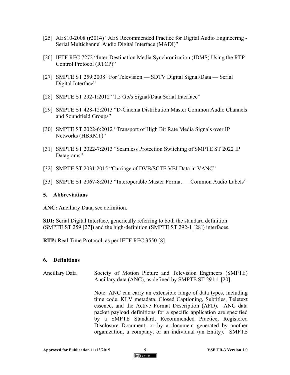- [25] AES10-2008 (r2014) "AES Recommended Practice for Digital Audio Engineering Serial Multichannel Audio Digital Interface (MADI)"
- [26] IETF RFC 7272 "Inter-Destination Media Synchronization (IDMS) Using the RTP Control Protocol (RTCP)"
- [27] SMPTE ST 259:2008 "For Television SDTV Digital Signal/Data Serial Digital Interface"
- [28] SMPTE ST 292-1:2012 "1.5 Gb/s Signal/Data Serial Interface"
- [29] SMPTE ST 428-12:2013 "D-Cinema Distribution Master Common Audio Channels and Soundfield Groups"
- [30] SMPTE ST 2022-6:2012 "Transport of High Bit Rate Media Signals over IP Networks (HBRMT)"
- [31] SMPTE ST 2022-7:2013 "Seamless Protection Switching of SMPTE ST 2022 IP Datagrams"
- [32] SMPTE ST 2031:2015 "Carriage of DVB/SCTE VBI Data in VANC"
- [33] SMPTE ST 2067-8:2013 "Interoperable Master Format Common Audio Labels"

#### **5. Abbreviations**

**ANC:** Ancillary Data, see definition.

**SDI:** Serial Digital Interface, generically referring to both the standard definition (SMPTE ST 259 [27]) and the high-definition (SMPTE ST 292-1 [28]) interfaces.

**RTP:** Real Time Protocol, as per IETF RFC 3550 [8].

### **6. Definitions**

Ancillary Data Society of Motion Picture and Television Engineers (SMPTE) Ancillary data (ANC), as defined by SMPTE ST 291-1 [20].

> Note: ANC can carry an extensible range of data types, including time code, KLV metadata, Closed Captioning, Subtitles, Teletext essence, and the Active Format Description (AFD). ANC data packet payload definitions for a specific application are specified by a SMPTE Standard, Recommended Practice, Registered Disclosure Document, or by a document generated by another organization, a company, or an individual (an Entity). SMPTE

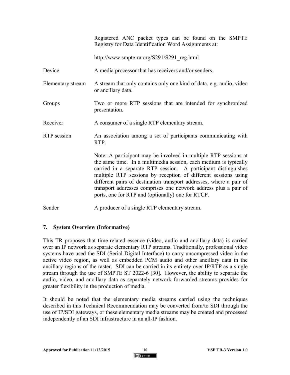Registered ANC packet types can be found on the SMPTE Registry for Data Identification Word Assignments at:

http://www.smpte-ra.org/S291/S291\_reg.html

Device A media processor that has receivers and/or senders.

- Elementary stream A stream that only contains only one kind of data, e.g. audio, video or ancillary data.
- Groups Two or more RTP sessions that are intended for synchronized presentation.

Receiver A consumer of a single RTP elementary stream.

RTP session An association among a set of participants communicating with RTP.

> Note: A participant may be involved in multiple RTP sessions at the same time. In a multimedia session, each medium is typically carried in a separate RTP session. A participant distinguishes multiple RTP sessions by reception of different sessions using different pairs of destination transport addresses, where a pair of transport addresses comprises one network address plus a pair of ports, one for RTP and (optionally) one for RTCP.

Sender A producer of a single RTP elementary stream.

### **7. System Overview (Informative)**

This TR proposes that time-related essence (video, audio and ancillary data) is carried over an IP network as separate elementary RTP streams. Traditionally, professional video systems have used the SDI (Serial Digital Interface) to carry uncompressed video in the active video region, as well as embedded PCM audio and other ancillary data in the ancillary regions of the raster. SDI can be carried in its entirety over IP/RTP as a single stream through the use of SMPTE ST 2022-6 [30]. However, the ability to separate the audio, video, and ancillary data as separately network forwarded streams provides for greater flexibility in the production of media.

It should be noted that the elementary media streams carried using the techniques described in this Technical Recommendation may be converted from/to SDI through the use of IP/SDI gateways, or these elementary media streams may be created and processed independently of an SDI infrastructure in an all-IP fashion.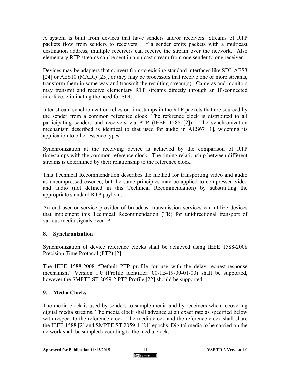A system is built from devices that have senders and/or receivers. Streams of RTP packets flow from senders to receivers. If a sender emits packets with a multicast destination address, multiple receivers can receive the stream over the network. Also elementary RTP streams can be sent in a unicast stream from one sender to one receiver.

Devices may be adapters that convert from/to existing standard interfaces like SDI, AES3 [24] or AES10 (MADI) [25], or they may be processors that receive one or more streams, transform them in some way and transmit the resulting stream(s). Cameras and monitors may transmit and receive elementary RTP streams directly through an IP-connected interface, eliminating the need for SDI.

Inter-stream synchronization relies on timestamps in the RTP packets that are sourced by the sender from a common reference clock. The reference clock is distributed to all participating senders and receivers via PTP (IEEE 1588 [2]). The synchronization mechanism described is identical to that used for audio in AES67 [1], widening its application to other essence types.

Synchronization at the receiving device is achieved by the comparison of RTP timestamps with the common reference clock. The timing relationship between different streams is determined by their relationship to the reference clock.

This Technical Recommendation describes the method for transporting video and audio as uncompressed essence, but the same principles may be applied to compressed video and audio (not defined in this Technical Recommendation) by substituting the appropriate standard RTP payload.

An end-user or service provider of broadcast transmission services can utilize devices that implement this Technical Recommendation (TR) for unidirectional transport of various media signals over IP.

### **8. Synchronization**

Synchronization of device reference clocks shall be achieved using IEEE 1588-2008 Precision Time Protocol (PTP) [2].

The IEEE 1588-2008 "Default PTP profile for use with the delay request-response mechanism" Version 1.0 (Profile identifier: 00-1B-19-00-01-00) shall be supported, however the SMPTE ST 2059-2 PTP Profile [22] should be supported.

## **9. Media Clocks**

The media clock is used by senders to sample media and by receivers when recovering digital media streams. The media clock shall advance at an exact rate as specified below with respect to the reference clock. The media clock and the reference clock shall share the IEEE 1588 [2] and SMPTE ST 2059-1 [21] epochs. Digital media to be carried on the network shall be sampled according to the media clock.

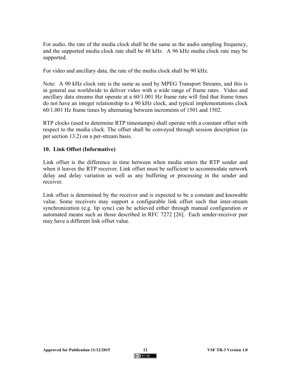For audio, the rate of the media clock shall be the same as the audio sampling frequency, and the supported media clock rate shall be 48 kHz. A 96 kHz media clock rate may be supported.

For video and ancillary data, the rate of the media clock shall be 90 kHz.

Note: A 90 kHz clock rate is the same as used by MPEG Transport Streams, and this is in general use worldwide to deliver video with a wide range of frame rates. Video and ancillary data streams that operate at a 60/1.001 Hz frame rate will find that frame times do not have an integer relationship to a 90 kHz clock, and typical implementations clock 60/1.001 Hz frame times by alternating between increments of 1501 and 1502.

RTP clocks (used to determine RTP timestamps) shall operate with a constant offset with respect to the media clock. The offset shall be conveyed through session description (as per section 13.2) on a per-stream basis.

#### **10. Link Offset (Informative)**

Link offset is the difference in time between when media enters the RTP sender and when it leaves the RTP receiver. Link offset must be sufficient to accommodate network delay and delay variation as well as any buffering or processing in the sender and receiver.

Link offset is determined by the receiver and is expected to be a constant and knowable value. Some receivers may support a configurable link offset such that inter-stream synchronization (e.g. lip sync) can be achieved either through manual configuration or automated means such as those described in RFC 7272 [26]. Each sender-receiver pair may have a different link offset value.

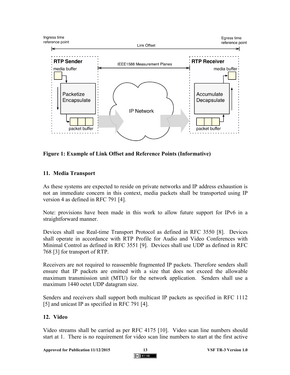

**Figure 1: Example of Link Offset and Reference Points (Informative)** 

## **11. Media Transport**

As these systems are expected to reside on private networks and IP address exhaustion is not an immediate concern in this context, media packets shall be transported using IP version 4 as defined in RFC 791 [4].

Note: provisions have been made in this work to allow future support for IPv6 in a straightforward manner.

Devices shall use Real-time Transport Protocol as defined in RFC 3550 [8]. Devices shall operate in accordance with RTP Profile for Audio and Video Conferences with Minimal Control as defined in RFC 3551 [9]. Devices shall use UDP as defined in RFC 768 [3] for transport of RTP.

Receivers are not required to reassemble fragmented IP packets. Therefore senders shall ensure that IP packets are emitted with a size that does not exceed the allowable maximum transmission unit (MTU) for the network application. Senders shall use a maximum 1440 octet UDP datagram size.

Senders and receivers shall support both multicast IP packets as specified in RFC 1112 [5] and unicast IP as specified in RFC 791 [4].

## **12. Video**

Video streams shall be carried as per RFC 4175 [10]. Video scan line numbers should start at 1. There is no requirement for video scan line numbers to start at the first active

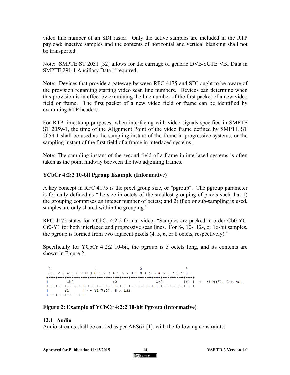video line number of an SDI raster. Only the active samples are included in the RTP payload: inactive samples and the contents of horizontal and vertical blanking shall not be transported.

Note: SMPTE ST 2031 [32] allows for the carriage of generic DVB/SCTE VBI Data in SMPTE 291-1 Ancillary Data if required.

Note: Devices that provide a gateway between RFC 4175 and SDI ought to be aware of the provision regarding starting video scan line numbers. Devices can determine when this provision is in effect by examining the line number of the first packet of a new video field or frame. The first packet of a new video field or frame can be identified by examining RTP headers.

For RTP timestamp purposes, when interfacing with video signals specified in SMPTE ST 2059-1, the time of the Alignment Point of the video frame defined by SMPTE ST 2059-1 shall be used as the sampling instant of the frame in progressive systems, or the sampling instant of the first field of a frame in interlaced systems.

Note: The sampling instant of the second field of a frame in interlaced systems is often taken as the point midway between the two adjoining frames.

### **YCbCr 4:2:2 10-bit Pgroup Example (Informative)**

A key concept in RFC 4175 is the pixel group size, or "pgroup". The pgroup parameter is formally defined as "the size in octets of the smallest grouping of pixels such that 1) the grouping comprises an integer number of octets; and 2) if color sub-sampling is used, samples are only shared within the grouping."

RFC 4175 states for YCbCr 4:2:2 format video: "Samples are packed in order Cb0-Y0- Cr0-Y1 for both interlaced and progressive scan lines. For 8-, 10-, 12-, or 16-bit samples, the pgroup is formed from two adjacent pixels (4, 5, 6, or 8 octets, respectively)."

Specifically for YCbCr 4:2:2 10-bit, the pgroup is 5 octets long, and its contents are shown in Figure 2.

 $\sim$  2  $\mathbf{1}$ 0 1 2 3 4 5 6 7 8 9 0 1 2 3 4 5 6 7 8 9 0 1 2 3 4 5 6 7 8 9 0 1 | Cb0 | Y0 | Cr0 | Y1 | <- Y1(9:8), 2 x MSB  $|$  Y1  $|$  <- Y1(7:0), 8 x LSB  $+ - + - + - + - + - + - + - +$ 

### **Figure 2: Example of YCbCr 4:2:2 10-bit Pgroup (Informative)**

### **12.1 Audio**

Audio streams shall be carried as per AES67 [1], with the following constraints: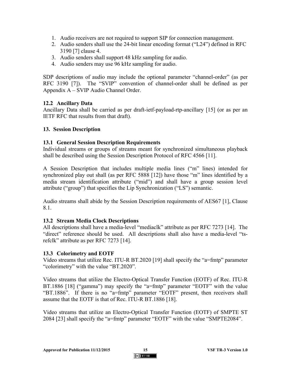- 1. Audio receivers are not required to support SIP for connection management.
- 2. Audio senders shall use the 24-bit linear encoding format ("L24") defined in RFC 3190 [7] clause 4.
- 3. Audio senders shall support 48 kHz sampling for audio.
- 4. Audio senders may use 96 kHz sampling for audio.

SDP descriptions of audio may include the optional parameter "channel-order" (as per RFC 3190 [7]). The "SVIP" convention of channel-order shall be defined as per Appendix A – SVIP Audio Channel Order.

### **12.2 Ancillary Data**

Ancillary Data shall be carried as per draft-ietf-payload-rtp-ancillary [15] (or as per an IETF RFC that results from that draft).

### **13. Session Description**

### **13.1 General Session Description Requirements**

Individual streams or groups of streams meant for synchronized simultaneous playback shall be described using the Session Description Protocol of RFC 4566 [11].

A Session Description that includes multiple media lines ("m" lines) intended for synchronized play out shall (as per RFC 5888 [12]) have those "m" lines identified by a media stream identification attribute ("mid") and shall have a group session level attribute ("group") that specifies the Lip Synchronization ("LS") semantic.

Audio streams shall abide by the Session Description requirements of AES67 [1], Clause 8.1.

## **13.2 Stream Media Clock Descriptions**

All descriptions shall have a media-level "mediaclk" attribute as per RFC 7273 [14]. The "direct" reference should be used. All descriptions shall also have a media-level "tsrefclk" attribute as per RFC 7273 [14].

## **13.3 Colorimetry and EOTF**

Video streams that utilize Rec. ITU-R BT.2020 [19] shall specify the "a=fmtp" parameter "colorimetry" with the value "BT.2020".

Video streams that utilize the Electro-Optical Transfer Function (EOTF) of Rec. ITU-R BT.1886 [18] ("gamma") may specify the "a=fmtp" parameter "EOTF" with the value "BT.1886". If there is no "a=fmtp" parameter "EOTF" present, then receivers shall assume that the EOTF is that of Rec. ITU-R BT.1886 [18].

Video streams that utilize an Electro-Optical Transfer Function (EOTF) of SMPTE ST 2084 [23] shall specify the "a=fmtp" parameter "EOTF" with the value "SMPTE2084".

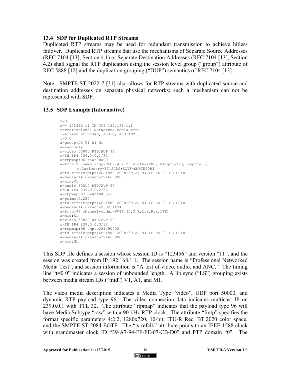#### **13.4 SDP for Duplicated RTP Streams**

Duplicated RTP streams may be used for redundant transmission to achieve hitless failover. Duplicated RTP streams that use the mechanisms of Separate Source Addresses (RFC 7104 [13], Section 4.1) or Separate Destination Addresses (RFC 7104 [13], Section 4.2) shall signal the RTP duplication using the session level group ("group") attribute of RFC 5888 [12] and the duplication grouping ("DUP") semantics of RFC 7104 [13].

Note: SMPTE ST 2022-7 [31] also allows for RTP streams with duplicated source and destination addresses on separate physical networks; such a mechanism can not be represented with SDP.

### **13.5 SDP Example (Informative)**

```
v=0o=- 123456 11 IN IP4 192.168.1.1
s=Professional Networked Media Test
i=A test of video, audio, and ANC
t=0 0
a=group:LS V1 A1 M1
a=recvonly
m=video 50000 RTP/AVP 96
c=IN IP4 239.0.0.1/32
a=rtpmap:96 raw/90000
a=fmtp:96 sampling=YCbCr-4:2:2; width=1280; height=720; depth=10;
       colorimetry=BT.2020;EOTF=SMPTE2084
a=ts-refclk:ptp=IEEE1588-2008:39-A7-94-FF-FE-07-CB-D0:0
a=mediaclk:direct=2216659908
a=mid:V1
m=audio 50010 RTP/AVP 97
c=IN IP4 239.0.0.2/32
a=rtpmap:97 L24/48000/6
a=ptime:0.250 
a=ts-refclk:ptp=IEEE1588-2008:39-A7-94-FF-FE-07-CB-D0:0
a=mediaclk:direct=963214424
a=fmtp:97 channel-order=SVIP.(L,C,R,Lrs,Rrs,LFE)
a=mid:A1
m=video 50020 RTP/AVP 98
c=IN IP4 239.0.0.3/32
a=rtpmap:98 smpte291/90000
a=ts-refclk:ptp=IEEE1588-2008:39-A7-94-FF-FE-07-CB-D0:0
a=mediaclk:direct=2216659908
a=mid:M1
```
This SDP file defines a session whose session ID is "123456" and version "11", and the session was created from IP 192.168.1.1. The session name is "Professional Networked Media Test", and session information is "A test of video, audio, and ANC." The timing line "t=0 0" indicates a session of unbounded length. A lip sync ("LS") grouping exists between media stream IDs ("mid") V1, A1, and M1.

The video media description indicates a Media Type "video", UDP port 50000, and dynamic RTP payload type 96. The video connection data indicates multicast IP on 239.0.0.1 with TTL 32. The attribute "rtpmap" indicates that the payload type 96 will have Media Subtype "raw" with a 90 kHz RTP clock. The attribute "fmtp" specifies the format specific parameters 4:2:2, 1280x720, 10-bit, ITU-R Rec. BT.2020 color space, and the SMPTE ST 2084 EOTF. The "ts-refclk" attribute points to an IEEE 1588 clock with grandmaster clock ID "39-A7-94-FF-FE-07-CB-D0" and PTP domain "0". The

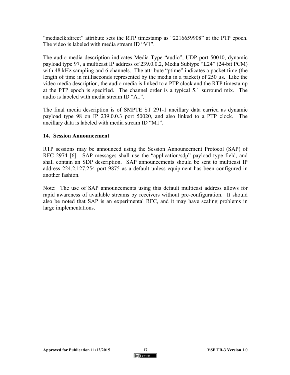"mediaclk:direct" attribute sets the RTP timestamp as "2216659908" at the PTP epoch. The video is labeled with media stream ID "V1".

The audio media description indicates Media Type "audio", UDP port 50010, dynamic payload type 97, a multicast IP address of 239.0.0.2, Media Subtype "L24" (24-bit PCM) with 48 kHz sampling and 6 channels. The attribute "ptime" indicates a packet time (the length of time in milliseconds represented by the media in a packet) of 250 us. Like the video media description, the audio media is linked to a PTP clock and the RTP timestamp at the PTP epoch is specified. The channel order is a typical 5.1 surround mix. The audio is labeled with media stream ID "A1".

The final media description is of SMPTE ST 291-1 ancillary data carried as dynamic payload type 98 on IP 239.0.0.3 port 50020, and also linked to a PTP clock. The ancillary data is labeled with media stream ID "M1".

#### **14. Session Announcement**

RTP sessions may be announced using the Session Announcement Protocol (SAP) of RFC 2974 [6]. SAP messages shall use the "application/sdp" payload type field, and shall contain an SDP description. SAP announcements should be sent to multicast IP address 224.2.127.254 port 9875 as a default unless equipment has been configured in another fashion.

Note: The use of SAP announcements using this default multicast address allows for rapid awareness of available streams by receivers without pre-configuration. It should also be noted that SAP is an experimental RFC, and it may have scaling problems in large implementations.

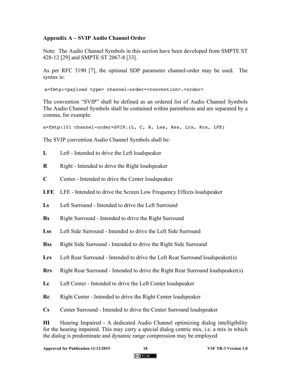## **Appendix A – SVIP Audio Channel Order**

Note: The Audio Channel Symbols in this section have been developed from SMPTE ST 428-12 [29] and SMPTE ST 2067-8 [33].

As per RFC 3190 [7], the optional SDP parameter channel-order may be used. The syntax is:

a=fmtp:<payload type> channel-order=<convention>.<order>

The convention "SVIP" shall be defined as an ordered list of Audio Channel Symbols The Audio Channel Symbols shall be contained within parenthesis and are separated by a comma, for example:

```
a=fmtp:101 channel-order=SVIP.(L, C, R, Lss, Rss, Lrs, Rrs, LFE)
```
The SVIP convention Audio Channel Symbols shall be:

- **L** Left Intended to drive the Left loudspeaker
- **R** Right Intended to drive the Right loudspeaker
- **C** Center Intended to drive the Center loudspeaker
- **LFE** LFE Intended to drive the Screen Low Frequency Effects loudspeaker
- **Ls** Left Surround Intended to drive the Left Surround
- **Rs** Right Surround Intended to drive the Right Surround
- **Lss** Left Side Surround Intended to drive the Left Side Surround
- **Rss** Right Side Surround Intended to drive the Right Side Surround
- **Lrs** Left Rear Surround Intended to drive the Left Rear Surround loudspeaker(s)
- **Rrs** Right Rear Surround Intended to drive the Right Rear Surround loudspeaker(s)
- **Lc** Left Center Intended to drive the Left Center loudspeaker
- **Rc** Right Center Intended to drive the Right Center loudspeaker
- **Cs** Center Surround Intended to drive the Center Surround loudspeaker

**HI** Hearing Impaired - A dedicated Audio Channel optimizing dialog intelligibility for the hearing impaired. This may carry a special dialog centric mix, i.e. a mix in which the dialog is predominate and dynamic range compression may be employed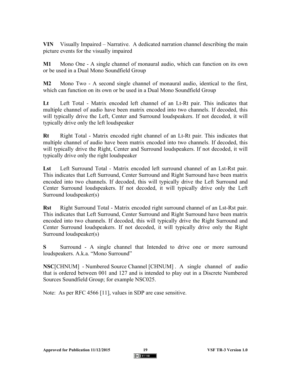**VIN** Visually Impaired – Narrative. A dedicated narration channel describing the main picture events for the visually impaired

**M1** Mono One - A single channel of monaural audio, which can function on its own or be used in a Dual Mono Soundfield Group

**M2** Mono Two - A second single channel of monaural audio, identical to the first, which can function on its own or be used in a Dual Mono Soundfield Group

**Lt** Left Total - Matrix encoded left channel of an Lt-Rt pair. This indicates that multiple channel of audio have been matrix encoded into two channels. If decoded, this will typically drive the Left, Center and Surround loudspeakers. If not decoded, it will typically drive only the left loudspeaker

**Rt** Right Total - Matrix encoded right channel of an Lt-Rt pair. This indicates that multiple channel of audio have been matrix encoded into two channels. If decoded, this will typically drive the Right, Center and Surround loudspeakers. If not decoded, it will typically drive only the right loudspeaker

**Lst** Left Surround Total - Matrix encoded left surround channel of an Lst-Rst pair. This indicates that Left Surround, Center Surround and Right Surround have been matrix encoded into two channels. If decoded, this will typically drive the Left Surround and Center Surround loudspeakers. If not decoded, it will typically drive only the Left Surround loudspeaker(s)

**Rst** Right Surround Total - Matrix encoded right surround channel of an Lst-Rst pair. This indicates that Left Surround, Center Surround and Right Surround have been matrix encoded into two channels. If decoded, this will typically drive the Right Surround and Center Surround loudspeakers. If not decoded, it will typically drive only the Right Surround loudspeaker(s)

**S** Surround - A single channel that Intended to drive one or more surround loudspeakers. A.k.a. "Mono Surround"

**NSC**[CHNUM] - Numbered Source Channel [CHNUM] . A single channel of audio that is ordered between 001 and 127 and is intended to play out in a Discrete Numbered Sources Soundfield Group; for example NSC025.

Note: As per RFC 4566 [11], values in SDP are case sensitive.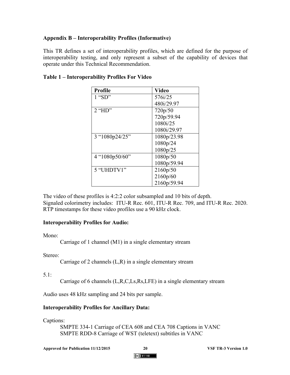## **Appendix B – Interoperability Profiles (Informative)**

This TR defines a set of interoperability profiles, which are defined for the purpose of interoperability testing, and only represent a subset of the capability of devices that operate under this Technical Recommendation.

| <b>Profile</b> | <b>Video</b> |
|----------------|--------------|
| $1$ "SD"       | 576i/25      |
|                | 480i/29.97   |
| $2$ "HD"       | 720p/50      |
|                | 720p/59.94   |
|                | 1080i/25     |
|                | 1080i/29.97  |
| 3 "1080p24/25" | 1080p/23.98  |
|                | 1080p/24     |
|                | 1080p/25     |
| 4 "1080p50/60" | 1080p/50     |
|                | 1080p/59.94  |
| 5 "UHDTV1"     | 2160p/50     |
|                | 2160p/60     |
|                | 2160p/59.94  |

## **Table 1 – Interoperability Profiles For Video**

The video of these profiles is 4:2:2 color subsampled and 10 bits of depth. Signaled colorimetry includes: ITU-R Rec. 601, ITU-R Rec. 709, and ITU-R Rec. 2020. RTP timestamps for these video profiles use a 90 kHz clock.

### **Interoperability Profiles for Audio:**

Mono<sup>.</sup>

Carriage of 1 channel (M1) in a single elementary stream

Stereo:

Carriage of 2 channels (L,R) in a single elementary stream

5.1:

Carriage of 6 channels (L,R,C,Ls,Rs,LFE) in a single elementary stream

Audio uses 48 kHz sampling and 24 bits per sample.

## **Interoperability Profiles for Ancillary Data:**

Captions:

SMPTE 334-1 Carriage of CEA 608 and CEA 708 Captions in VANC SMPTE RDD-8 Carriage of WST (teletext) subtitles in VANC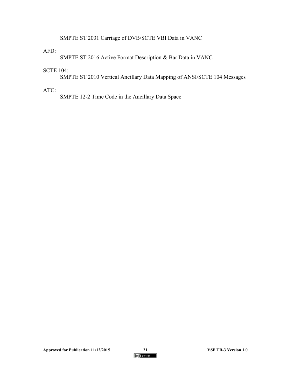SMPTE ST 2031 Carriage of DVB/SCTE VBI Data in VANC

### AFD:

SMPTE ST 2016 Active Format Description & Bar Data in VANC

### SCTE 104:

SMPTE ST 2010 Vertical Ancillary Data Mapping of ANSI/SCTE 104 Messages

# ATC:

SMPTE 12-2 Time Code in the Ancillary Data Space